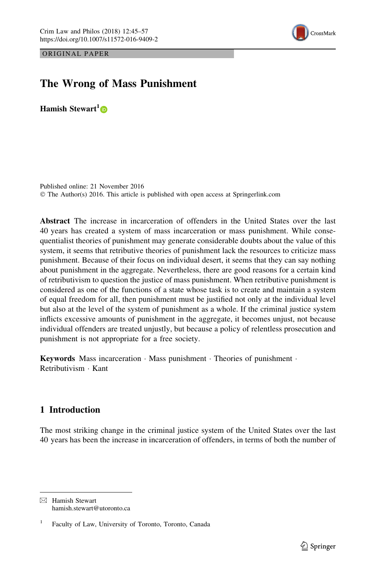ORIGINAL PAPER



# The Wrong of Mass Punishment

Hamish Stewart<sup>1</sup><sup>®</sup>

Published online: 21 November 2016 © The Author(s) 2016. This article is published with open access at Springerlink.com

Abstract The increase in incarceration of offenders in the United States over the last 40 years has created a system of mass incarceration or mass punishment. While consequentialist theories of punishment may generate considerable doubts about the value of this system, it seems that retributive theories of punishment lack the resources to criticize mass punishment. Because of their focus on individual desert, it seems that they can say nothing about punishment in the aggregate. Nevertheless, there are good reasons for a certain kind of retributivism to question the justice of mass punishment. When retributive punishment is considered as one of the functions of a state whose task is to create and maintain a system of equal freedom for all, then punishment must be justified not only at the individual level but also at the level of the system of punishment as a whole. If the criminal justice system inflicts excessive amounts of punishment in the aggregate, it becomes unjust, not because individual offenders are treated unjustly, but because a policy of relentless prosecution and punishment is not appropriate for a free society.

Keywords Mass incarceration · Mass punishment · Theories of punishment · Retributivism - Kant

# 1 Introduction

The most striking change in the criminal justice system of the United States over the last 40 years has been the increase in incarceration of offenders, in terms of both the number of

 $\boxtimes$  Hamish Stewart hamish.stewart@utoronto.ca

<sup>&</sup>lt;sup>1</sup> Faculty of Law, University of Toronto, Toronto, Canada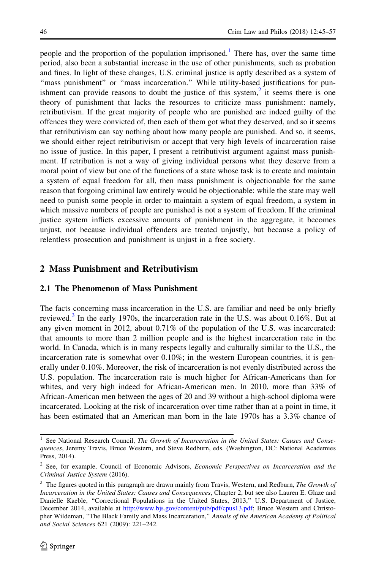people and the proportion of the population imprisoned.<sup>1</sup> There has, over the same time period, also been a substantial increase in the use of other punishments, such as probation and fines. In light of these changes, U.S. criminal justice is aptly described as a system of "mass punishment" or "mass incarceration." While utility-based justifications for punishment can provide reasons to doubt the justice of this system, $\frac{2}{3}$  it seems there is one theory of punishment that lacks the resources to criticize mass punishment: namely, retributivism. If the great majority of people who are punished are indeed guilty of the offences they were convicted of, then each of them got what they deserved, and so it seems that retributivism can say nothing about how many people are punished. And so, it seems, we should either reject retributivism or accept that very high levels of incarceration raise no issue of justice. In this paper, I present a retributivist argument against mass punishment. If retribution is not a way of giving individual persons what they deserve from a moral point of view but one of the functions of a state whose task is to create and maintain a system of equal freedom for all, then mass punishment is objectionable for the same reason that forgoing criminal law entirely would be objectionable: while the state may well need to punish some people in order to maintain a system of equal freedom, a system in which massive numbers of people are punished is not a system of freedom. If the criminal justice system inflicts excessive amounts of punishment in the aggregate, it becomes unjust, not because individual offenders are treated unjustly, but because a policy of relentless prosecution and punishment is unjust in a free society.

# 2 Mass Punishment and Retributivism

#### 2.1 The Phenomenon of Mass Punishment

The facts concerning mass incarceration in the U.S. are familiar and need be only briefly reviewed.<sup>3</sup> In the early 1970s, the incarceration rate in the U.S. was about 0.16%. But at any given moment in 2012, about 0.71% of the population of the U.S. was incarcerated: that amounts to more than 2 million people and is the highest incarceration rate in the world. In Canada, which is in many respects legally and culturally similar to the U.S., the incarceration rate is somewhat over  $0.10\%$ ; in the western European countries, it is generally under 0.10%. Moreover, the risk of incarceration is not evenly distributed across the U.S. population. The incarceration rate is much higher for African-Americans than for whites, and very high indeed for African-American men. In 2010, more than 33% of African-American men between the ages of 20 and 39 without a high-school diploma were incarcerated. Looking at the risk of incarceration over time rather than at a point in time, it has been estimated that an American man born in the late 1970s has a 3.3% chance of

See National Research Council, The Growth of Incarceration in the United States: Causes and Consequences, Jeremy Travis, Bruce Western, and Steve Redburn, eds. (Washington, DC: National Academies Press, 2014).

<sup>&</sup>lt;sup>2</sup> See, for example, Council of Economic Advisors, Economic Perspectives on Incarceration and the Criminal Justice System (2016).

 $3$  The figures quoted in this paragraph are drawn mainly from Travis, Western, and Redburn, The Growth of Incarceration in the United States: Causes and Consequences, Chapter 2, but see also Lauren E. Glaze and Danielle Kaeble, ''Correctional Populations in the United States, 2013,'' U.S. Department of Justice, December 2014, available at <http://www.bjs.gov/content/pub/pdf/cpus13.pdf>; Bruce Western and Christopher Wildeman, "The Black Family and Mass Incarceration," Annals of the American Academy of Political and Social Sciences 621 (2009): 221–242.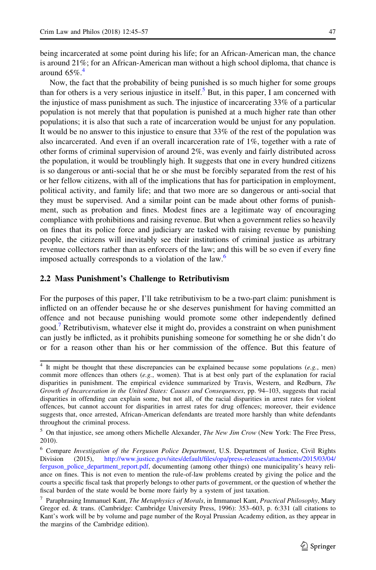being incarcerated at some point during his life; for an African-American man, the chance is around 21%; for an African-American man without a high school diploma, that chance is around  $65\%$ .<sup>4</sup>

Now, the fact that the probability of being punished is so much higher for some groups than for others is a very serious injustice in itself.<sup>5</sup> But, in this paper, I am concerned with the injustice of mass punishment as such. The injustice of incarcerating 33% of a particular population is not merely that that population is punished at a much higher rate than other populations; it is also that such a rate of incarceration would be unjust for any population. It would be no answer to this injustice to ensure that 33% of the rest of the population was also incarcerated. And even if an overall incarceration rate of 1%, together with a rate of other forms of criminal supervision of around 2%, was evenly and fairly distributed across the population, it would be troublingly high. It suggests that one in every hundred citizens is so dangerous or anti-social that he or she must be forcibly separated from the rest of his or her fellow citizens, with all of the implications that has for participation in employment, political activity, and family life; and that two more are so dangerous or anti-social that they must be supervised. And a similar point can be made about other forms of punishment, such as probation and fines. Modest fines are a legitimate way of encouraging compliance with prohibitions and raising revenue. But when a government relies so heavily on fines that its police force and judiciary are tasked with raising revenue by punishing people, the citizens will inevitably see their institutions of criminal justice as arbitrary revenue collectors rather than as enforcers of the law; and this will be so even if every fine imposed actually corresponds to a violation of the law.<sup>6</sup>

#### 2.2 Mass Punishment's Challenge to Retributivism

For the purposes of this paper, I'll take retributivism to be a two-part claim: punishment is inflicted on an offender because he or she deserves punishment for having committed an offence and not because punishing would promote some other independently defined good.<sup>7</sup> Retributivism, whatever else it might do, provides a constraint on when punishment can justly be inflicted, as it prohibits punishing someone for something he or she didn't do or for a reason other than his or her commission of the offence. But this feature of

 $4$  It might be thought that these discrepancies can be explained because some populations (e.g., men) commit more offences than others  $(e.g.,$  women). That is at best only part of the explanation for racial disparities in punishment. The empirical evidence summarized by Travis, Western, and Redburn, The Growth of Incarceration in the United States: Causes and Consequences, pp. 94–103, suggests that racial disparities in offending can explain some, but not all, of the racial disparities in arrest rates for violent offences, but cannot account for disparities in arrest rates for drug offences; moreover, their evidence suggests that, once arrested, African-American defendants are treated more harshly than white defendants throughout the criminal process.

 $5$  On that injustice, see among others Michelle Alexander, The New Jim Crow (New York: The Free Press, 2010).

<sup>&</sup>lt;sup>6</sup> Compare Investigation of the Ferguson Police Department, U.S. Department of Justice, Civil Rights Division (2015), [http://www.justice.gov/sites/default/files/opa/press-releases/attachments/2015/03/04/](http://www.justice.gov/sites/default/files/opa/press-releases/attachments/2015/03/04/ferguson_police_department_report.pdf) [ferguson\\_police\\_department\\_report.pdf,](http://www.justice.gov/sites/default/files/opa/press-releases/attachments/2015/03/04/ferguson_police_department_report.pdf) documenting (among other things) one municipality's heavy reliance on fines. This is not even to mention the rule-of-law problems created by giving the police and the courts a specific fiscal task that properly belongs to other parts of government, or the question of whether the fiscal burden of the state would be borne more fairly by a system of just taxation.

 $^7$  Paraphrasing Immanuel Kant, *The Metaphysics of Morals*, in Immanuel Kant, *Practical Philosophy*, Mary Gregor ed. & trans. (Cambridge: Cambridge University Press, 1996): 353–603, p. 6:331 (all citations to Kant's work will be by volume and page number of the Royal Prussian Academy edition, as they appear in the margins of the Cambridge edition).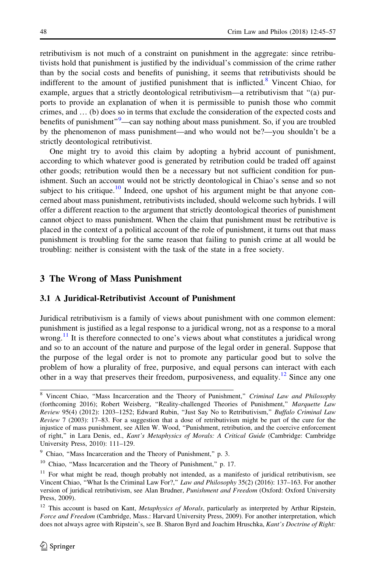retributivism is not much of a constraint on punishment in the aggregate: since retributivists hold that punishment is justified by the individual's commission of the crime rather than by the social costs and benefits of punishing, it seems that retributivists should be indifferent to the amount of justified punishment that is inflicted.<sup>8</sup> Vincent Chiao, for example, argues that a strictly deontological retributivism—a retributivism that ''(a) purports to provide an explanation of when it is permissible to punish those who commit crimes, and … (b) does so in terms that exclude the consideration of the expected costs and benefits of punishment"<sup>9</sup>—can say nothing about mass punishment. So, if you are troubled by the phenomenon of mass punishment—and who would not be?—you shouldn't be a strictly deontological retributivist.

One might try to avoid this claim by adopting a hybrid account of punishment, according to which whatever good is generated by retribution could be traded off against other goods; retribution would then be a necessary but not sufficient condition for punishment. Such an account would not be strictly deontological in Chiao's sense and so not subject to his critique.<sup>10</sup> Indeed, one upshot of his argument might be that anyone concerned about mass punishment, retributivists included, should welcome such hybrids. I will offer a different reaction to the argument that strictly deontological theories of punishment cannot object to mass punishment. When the claim that punishment must be retributive is placed in the context of a political account of the role of punishment, it turns out that mass punishment is troubling for the same reason that failing to punish crime at all would be troubling: neither is consistent with the task of the state in a free society.

## 3 The Wrong of Mass Punishment

#### 3.1 A Juridical-Retributivist Account of Punishment

Juridical retributivism is a family of views about punishment with one common element: punishment is justified as a legal response to a juridical wrong, not as a response to a moral wrong.<sup>11</sup> It is therefore connected to one's views about what constitutes a juridical wrong and so to an account of the nature and purpose of the legal order in general. Suppose that the purpose of the legal order is not to promote any particular good but to solve the problem of how a plurality of free, purposive, and equal persons can interact with each other in a way that preserves their freedom, purposiveness, and equality.<sup>12</sup> Since any one

<sup>&</sup>lt;sup>8</sup> Vincent Chiao, "Mass Incarceration and the Theory of Punishment," Criminal Law and Philosophy (forthcoming 2016); Robert Weisberg, "Reality-challenged Theories of Punishment," Marquette Law Review 95(4) (2012): 1203-1252; Edward Rubin, "Just Say No to Retributivism," Buffalo Criminal Law Review 7 (2003): 17–83. For a suggestion that a dose of retributivism might be part of the cure for the injustice of mass punishment, see Allen W. Wood, ''Punishment, retribution, and the coercive enforcement of right," in Lara Denis, ed., Kant's Metaphysics of Morals: A Critical Guide (Cambridge: Cambridge University Press, 2010): 111–129.

<sup>9</sup> Chiao, ''Mass Incarceration and the Theory of Punishment,'' p. 3.

<sup>&</sup>lt;sup>10</sup> Chiao, "Mass Incarceration and the Theory of Punishment," p. 17.

<sup>&</sup>lt;sup>11</sup> For what might be read, though probably not intended, as a manifesto of juridical retributivism, see Vincent Chiao, "What Is the Criminal Law For?," Law and Philosophy 35(2) (2016): 137–163. For another version of juridical retributivism, see Alan Brudner, Punishment and Freedom (Oxford: Oxford University Press, 2009).

<sup>&</sup>lt;sup>12</sup> This account is based on Kant, Metaphysics of Morals, particularly as interpreted by Arthur Ripstein, Force and Freedom (Cambridge, Mass.: Harvard University Press, 2009). For another interpretation, which does not always agree with Ripstein's, see B. Sharon Byrd and Joachim Hruschka, Kant's Doctrine of Right: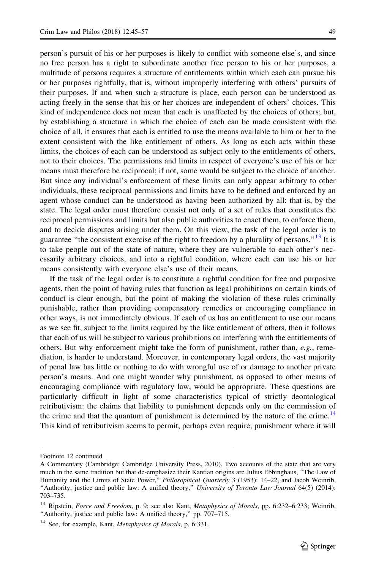person's pursuit of his or her purposes is likely to conflict with someone else's, and since no free person has a right to subordinate another free person to his or her purposes, a multitude of persons requires a structure of entitlements within which each can pursue his or her purposes rightfully, that is, without improperly interfering with others' pursuits of their purposes. If and when such a structure is place, each person can be understood as acting freely in the sense that his or her choices are independent of others' choices. This kind of independence does not mean that each is unaffected by the choices of others; but, by establishing a structure in which the choice of each can be made consistent with the choice of all, it ensures that each is entitled to use the means available to him or her to the extent consistent with the like entitlement of others. As long as each acts within these limits, the choices of each can be understood as subject only to the entitlements of others, not to their choices. The permissions and limits in respect of everyone's use of his or her means must therefore be reciprocal; if not, some would be subject to the choice of another. But since any individual's enforcement of these limits can only appear arbitrary to other individuals, these reciprocal permissions and limits have to be defined and enforced by an agent whose conduct can be understood as having been authorized by all: that is, by the state. The legal order must therefore consist not only of a set of rules that constitutes the reciprocal permissions and limits but also public authorities to enact them, to enforce them, and to decide disputes arising under them. On this view, the task of the legal order is to guarantee "the consistent exercise of the right to freedom by a plurality of persons."<sup>13</sup> It is to take people out of the state of nature, where they are vulnerable to each other's necessarily arbitrary choices, and into a rightful condition, where each can use his or her means consistently with everyone else's use of their means.

If the task of the legal order is to constitute a rightful condition for free and purposive agents, then the point of having rules that function as legal prohibitions on certain kinds of conduct is clear enough, but the point of making the violation of these rules criminally punishable, rather than providing compensatory remedies or encouraging compliance in other ways, is not immediately obvious. If each of us has an entitlement to use our means as we see fit, subject to the limits required by the like entitlement of others, then it follows that each of us will be subject to various prohibitions on interfering with the entitlements of others. But why enforcement might take the form of punishment, rather than, e.g., remediation, is harder to understand. Moreover, in contemporary legal orders, the vast majority of penal law has little or nothing to do with wrongful use of or damage to another private person's means. And one might wonder why punishment, as opposed to other means of encouraging compliance with regulatory law, would be appropriate. These questions are particularly difficult in light of some characteristics typical of strictly deontological retributivism: the claims that liability to punishment depends only on the commission of the crime and that the quantum of punishment is determined by the nature of the crime.<sup>14</sup> This kind of retributivism seems to permit, perhaps even require, punishment where it will

Footnote 12 continued

A Commentary (Cambridge: Cambridge University Press, 2010). Two accounts of the state that are very much in the same tradition but that de-emphasize their Kantian origins are Julius Ebbinghaus, ''The Law of Humanity and the Limits of State Power," Philosophical Quarterly 3 (1953): 14–22, and Jacob Weinrib, ''Authority, justice and public law: A unified theory,'' University of Toronto Law Journal 64(5) (2014): 703–735.

<sup>&</sup>lt;sup>13</sup> Ripstein, Force and Freedom, p. 9; see also Kant, Metaphysics of Morals, pp. 6:232-6:233; Weinrib, ''Authority, justice and public law: A unified theory,'' pp. 707–715.

<sup>&</sup>lt;sup>14</sup> See, for example, Kant, *Metaphysics of Morals*, p. 6:331.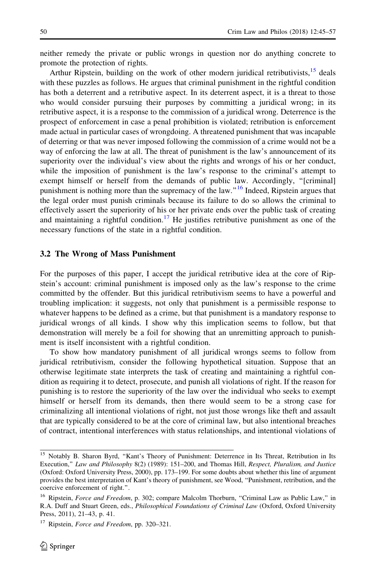neither remedy the private or public wrongs in question nor do anything concrete to promote the protection of rights.

Arthur Ripstein, building on the work of other modern juridical retributivists,<sup>15</sup> deals with these puzzles as follows. He argues that criminal punishment in the rightful condition has both a deterrent and a retributive aspect. In its deterrent aspect, it is a threat to those who would consider pursuing their purposes by committing a juridical wrong; in its retributive aspect, it is a response to the commission of a juridical wrong. Deterrence is the prospect of enforcement in case a penal prohibition is violated; retribution is enforcement made actual in particular cases of wrongdoing. A threatened punishment that was incapable of deterring or that was never imposed following the commission of a crime would not be a way of enforcing the law at all. The threat of punishment is the law's announcement of its superiority over the individual's view about the rights and wrongs of his or her conduct, while the imposition of punishment is the law's response to the criminal's attempt to exempt himself or herself from the demands of public law. Accordingly, "[criminal] punishment is nothing more than the supremacy of the law."<sup>16</sup> Indeed, Ripstein argues that the legal order must punish criminals because its failure to do so allows the criminal to effectively assert the superiority of his or her private ends over the public task of creating and maintaining a rightful condition.<sup>17</sup> He justifies retributive punishment as one of the necessary functions of the state in a rightful condition.

#### 3.2 The Wrong of Mass Punishment

For the purposes of this paper, I accept the juridical retributive idea at the core of Ripstein's account: criminal punishment is imposed only as the law's response to the crime committed by the offender. But this juridical retributivism seems to have a powerful and troubling implication: it suggests, not only that punishment is a permissible response to whatever happens to be defined as a crime, but that punishment is a mandatory response to juridical wrongs of all kinds. I show why this implication seems to follow, but that demonstration will merely be a foil for showing that an unremitting approach to punishment is itself inconsistent with a rightful condition.

To show how mandatory punishment of all juridical wrongs seems to follow from juridical retributivism, consider the following hypothetical situation. Suppose that an otherwise legitimate state interprets the task of creating and maintaining a rightful condition as requiring it to detect, prosecute, and punish all violations of right. If the reason for punishing is to restore the superiority of the law over the individual who seeks to exempt himself or herself from its demands, then there would seem to be a strong case for criminalizing all intentional violations of right, not just those wrongs like theft and assault that are typically considered to be at the core of criminal law, but also intentional breaches of contract, intentional interferences with status relationships, and intentional violations of

<sup>&</sup>lt;sup>15</sup> Notably B. Sharon Byrd, "Kant's Theory of Punishment: Deterrence in Its Threat, Retribution in Its Execution,'' Law and Philosophy 8(2) (1989): 151–200, and Thomas Hill, Respect, Pluralism, and Justice (Oxford: Oxford University Press, 2000), pp. 173–199. For some doubts about whether this line of argument provides the best interpretation of Kant's theory of punishment, see Wood, ''Punishment, retribution, and the coercive enforcement of right.''.

<sup>&</sup>lt;sup>16</sup> Ripstein, *Force and Freedom*, p. 302; compare Malcolm Thorburn, "Criminal Law as Public Law," in R.A. Duff and Stuart Green, eds., Philosophical Foundations of Criminal Law (Oxford, Oxford University Press, 2011), 21–43, p. 41.

<sup>&</sup>lt;sup>17</sup> Ripstein, Force and Freedom, pp. 320-321.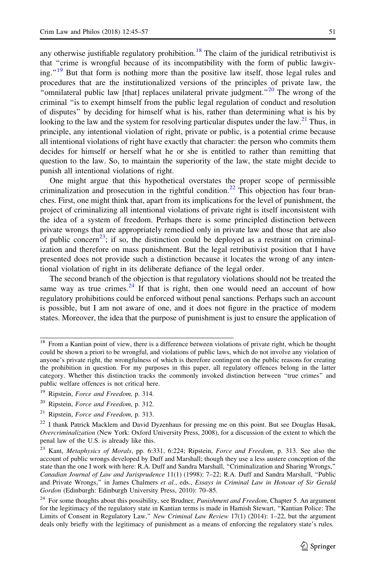any otherwise justifiable regulatory prohibition.<sup>18</sup> The claim of the juridical retributivist is that ''crime is wrongful because of its incompatibility with the form of public lawgiving."<sup>19</sup> But that form is nothing more than the positive law itself, those legal rules and procedures that are the institutionalized versions of the principles of private law, the "'omnilateral public law [that] replaces unilateral private judgment.<sup>"20</sup> The wrong of the criminal ''is to exempt himself from the public legal regulation of conduct and resolution of disputes'' by deciding for himself what is his, rather than determining what is his by looking to the law and the system for resolving particular disputes under the law.<sup>21</sup> Thus, in principle, any intentional violation of right, private or public, is a potential crime because all intentional violations of right have exactly that character: the person who commits them decides for himself or herself what he or she is entitled to rather than remitting that question to the law. So, to maintain the superiority of the law, the state might decide to punish all intentional violations of right.

One might argue that this hypothetical overstates the proper scope of permissible criminalization and prosecution in the rightful condition.<sup>22</sup> This objection has four branches. First, one might think that, apart from its implications for the level of punishment, the project of criminalizing all intentional violations of private right is itself inconsistent with the idea of a system of freedom. Perhaps there is some principled distinction between private wrongs that are appropriately remedied only in private law and those that are also of public concern<sup>23</sup>; if so, the distinction could be deployed as a restraint on criminalization and therefore on mass punishment. But the legal retributivist position that I have presented does not provide such a distinction because it locates the wrong of any intentional violation of right in its deliberate defiance of the legal order.

The second branch of the objection is that regulatory violations should not be treated the same way as true crimes. $^{24}$  If that is right, then one would need an account of how regulatory prohibitions could be enforced without penal sanctions. Perhaps such an account is possible, but I am not aware of one, and it does not figure in the practice of modern states. Moreover, the idea that the purpose of punishment is just to ensure the application of

<sup>&</sup>lt;sup>18</sup> From a Kantian point of view, there is a difference between violations of private right, which he thought could be shown a priori to be wrongful, and violations of public laws, which do not involve any violation of anyone's private right, the wrongfulness of which is therefore contingent on the public reasons for creating the prohibition in question. For my purposes in this paper, all regulatory offences belong in the latter category. Whether this distinction tracks the commonly invoked distinction between ''true crimes'' and public welfare offences is not critical here.

<sup>&</sup>lt;sup>19</sup> Ripstein, Force and Freedom, p. 314.

<sup>20</sup> Ripstein, Force and Freedom, p. 312.

<sup>&</sup>lt;sup>21</sup> Ripstein, Force and Freedom, p. 313.

<sup>&</sup>lt;sup>22</sup> I thank Patrick Macklem and David Dyzenhaus for pressing me on this point. But see Douglas Husak, Overcriminalization (New York: Oxford University Press, 2008), for a discussion of the extent to which the penal law of the U.S. is already like this.

<sup>&</sup>lt;sup>23</sup> Kant, Metaphysics of Morals, pp. 6:331, 6:224; Ripstein, Force and Freedom, p. 313. See also the account of public wrongs developed by Duff and Marshall; though they use a less austere conception of the state than the one I work with here: R.A. Duff and Sandra Marshall, ''Criminalization and Sharing Wrongs,'' Canadian Journal of Law and Jurisprudence 11(1) (1998): 7–22; R.A. Duff and Sandra Marshall, ''Public and Private Wrongs," in James Chalmers et al., eds., Essays in Criminal Law in Honour of Sir Gerald Gordon (Edinburgh: Edinburgh University Press, 2010): 70–85.

 $24$  For some thoughts about this possibility, see Brudner, *Punishment and Freedom*, Chapter 5. An argument for the legitimacy of the regulatory state in Kantian terms is made in Hamish Stewart, ''Kantian Police: The Limits of Consent in Regulatory Law," New Criminal Law Review 17(1) (2014): 1–22, but the argument deals only briefly with the legitimacy of punishment as a means of enforcing the regulatory state's rules.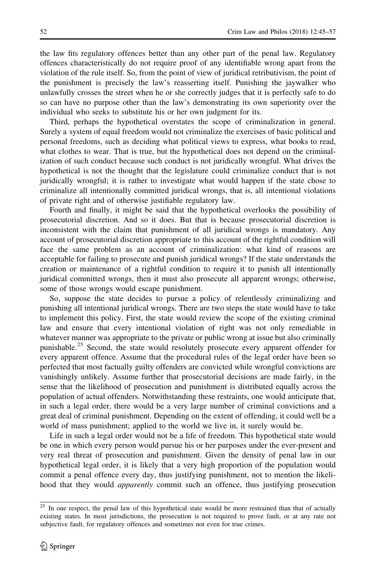the law fits regulatory offences better than any other part of the penal law. Regulatory offences characteristically do not require proof of any identifiable wrong apart from the violation of the rule itself. So, from the point of view of juridical retributivism, the point of the punishment is precisely the law's reasserting itself. Punishing the jaywalker who unlawfully crosses the street when he or she correctly judges that it is perfectly safe to do so can have no purpose other than the law's demonstrating its own superiority over the individual who seeks to substitute his or her own judgment for its.

Third, perhaps the hypothetical overstates the scope of criminalization in general. Surely a system of equal freedom would not criminalize the exercises of basic political and personal freedoms, such as deciding what political views to express, what books to read, what clothes to wear. That is true, but the hypothetical does not depend on the criminalization of such conduct because such conduct is not juridically wrongful. What drives the hypothetical is not the thought that the legislature could criminalize conduct that is not juridically wrongful; it is rather to investigate what would happen if the state chose to criminalize all intentionally committed juridical wrongs, that is, all intentional violations of private right and of otherwise justifiable regulatory law.

Fourth and finally, it might be said that the hypothetical overlooks the possibility of prosecutorial discretion. And so it does. But that is because prosecutorial discretion is inconsistent with the claim that punishment of all juridical wrongs is mandatory. Any account of prosecutorial discretion appropriate to this account of the rightful condition will face the same problem as an account of criminalization: what kind of reasons are acceptable for failing to prosecute and punish juridical wrongs? If the state understands the creation or maintenance of a rightful condition to require it to punish all intentionally juridical committed wrongs, then it must also prosecute all apparent wrongs; otherwise, some of those wrongs would escape punishment.

So, suppose the state decides to pursue a policy of relentlessly criminalizing and punishing all intentional juridical wrongs. There are two steps the state would have to take to implement this policy. First, the state would review the scope of the existing criminal law and ensure that every intentional violation of right was not only remediable in whatever manner was appropriate to the private or public wrong at issue but also criminally punishable.<sup>25</sup> Second, the state would resolutely prosecute every apparent offender for every apparent offence. Assume that the procedural rules of the legal order have been so perfected that most factually guilty offenders are convicted while wrongful convictions are vanishingly unlikely. Assume further that prosecutorial decisions are made fairly, in the sense that the likelihood of prosecution and punishment is distributed equally across the population of actual offenders. Notwithstanding these restraints, one would anticipate that, in such a legal order, there would be a very large number of criminal convictions and a great deal of criminal punishment. Depending on the extent of offending, it could well be a world of mass punishment; applied to the world we live in, it surely would be.

Life in such a legal order would not be a life of freedom. This hypothetical state would be one in which every person would pursue his or her purposes under the ever-present and very real threat of prosecution and punishment. Given the density of penal law in our hypothetical legal order, it is likely that a very high proportion of the population would commit a penal offence every day, thus justifying punishment, not to mention the likelihood that they would *apparently* commit such an offence, thus justifying prosecution

<sup>&</sup>lt;sup>25</sup> In one respect, the penal law of this hypothetical state would be more restrained than that of actually existing states. In most jurisdictions, the prosecution is not required to prove fault, or at any rate not subjective fault, for regulatory offences and sometimes not even for true crimes.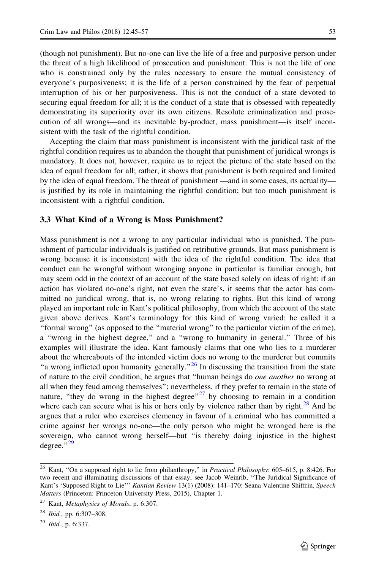(though not punishment). But no-one can live the life of a free and purposive person under the threat of a high likelihood of prosecution and punishment. This is not the life of one who is constrained only by the rules necessary to ensure the mutual consistency of everyone's purposiveness; it is the life of a person constrained by the fear of perpetual interruption of his or her purposiveness. This is not the conduct of a state devoted to securing equal freedom for all; it is the conduct of a state that is obsessed with repeatedly demonstrating its superiority over its own citizens. Resolute criminalization and prosecution of all wrongs—and its inevitable by-product, mass punishment—is itself inconsistent with the task of the rightful condition.

Accepting the claim that mass punishment is inconsistent with the juridical task of the rightful condition requires us to abandon the thought that punishment of juridical wrongs is mandatory. It does not, however, require us to reject the picture of the state based on the idea of equal freedom for all; rather, it shows that punishment is both required and limited by the idea of equal freedom. The threat of punishment —and in some cases, its actuality is justified by its role in maintaining the rightful condition; but too much punishment is inconsistent with a rightful condition.

## 3.3 What Kind of a Wrong is Mass Punishment?

Mass punishment is not a wrong to any particular individual who is punished. The punishment of particular individuals is justified on retributive grounds. But mass punishment is wrong because it is inconsistent with the idea of the rightful condition. The idea that conduct can be wrongful without wronging anyone in particular is familiar enough, but may seem odd in the context of an account of the state based solely on ideas of right: if an action has violated no-one's right, not even the state's, it seems that the actor has committed no juridical wrong, that is, no wrong relating to rights. But this kind of wrong played an important role in Kant's political philosophy, from which the account of the state given above derives. Kant's terminology for this kind of wrong varied: he called it a ''formal wrong'' (as opposed to the ''material wrong'' to the particular victim of the crime), a "wrong in the highest degree," and a "wrong to humanity in general." Three of his examples will illustrate the idea. Kant famously claims that one who lies to a murderer about the whereabouts of the intended victim does no wrong to the murderer but commits "a wrong inflicted upon humanity generally."<sup>26</sup> In discussing the transition from the state of nature to the civil condition, he argues that "human beings do one another no wrong at all when they feud among themselves''; nevertheless, if they prefer to remain in the state of nature, "they do wrong in the highest degree"<sup>27</sup> by choosing to remain in a condition where each can secure what is his or hers only by violence rather than by right. $^{28}$  And he argues that a ruler who exercises clemency in favour of a criminal who has committed a crime against her wrongs no-one—the only person who might be wronged here is the sovereign, who cannot wrong herself—but ''is thereby doing injustice in the highest degree." $^{29}$ 

<sup>&</sup>lt;sup>26</sup> Kant, "On a supposed right to lie from philanthropy," in *Practical Philosophy*: 605–615, p. 8:426. For two recent and illuminating discussions of that essay, see Jacob Weinrib, ''The Juridical Significance of Kant's 'Supposed Right to Lie'" Kantian Review 13(1) (2008): 141-170; Seana Valentine Shiffrin, Speech Matters (Princeton: Princeton University Press, 2015), Chapter 1.

<sup>&</sup>lt;sup>27</sup> Kant, Metaphysics of Morals, p. 6:307.

<sup>28</sup> Ibid., pp. 6:307–308.

<sup>29</sup> Ibid., p. 6:337.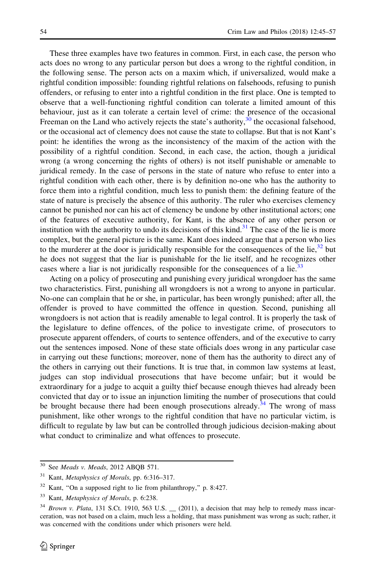These three examples have two features in common. First, in each case, the person who acts does no wrong to any particular person but does a wrong to the rightful condition, in the following sense. The person acts on a maxim which, if universalized, would make a rightful condition impossible: founding rightful relations on falsehoods, refusing to punish offenders, or refusing to enter into a rightful condition in the first place. One is tempted to observe that a well-functioning rightful condition can tolerate a limited amount of this behaviour, just as it can tolerate a certain level of crime: the presence of the occasional Freeman on the Land who actively rejects the state's authority,  $30^{\circ}$  the occasional falsehood, or the occasional act of clemency does not cause the state to collapse. But that is not Kant's point: he identifies the wrong as the inconsistency of the maxim of the action with the possibility of a rightful condition. Second, in each case, the action, though a juridical wrong (a wrong concerning the rights of others) is not itself punishable or amenable to juridical remedy. In the case of persons in the state of nature who refuse to enter into a rightful condition with each other, there is by definition no-one who has the authority to force them into a rightful condition, much less to punish them: the defining feature of the state of nature is precisely the absence of this authority. The ruler who exercises clemency cannot be punished nor can his act of clemency be undone by other institutional actors; one of the features of executive authority, for Kant, is the absence of any other person or institution with the authority to undo its decisions of this kind. $31$  The case of the lie is more complex, but the general picture is the same. Kant does indeed argue that a person who lies to the murderer at the door is juridically responsible for the consequences of the lie, $32$  but he does not suggest that the liar is punishable for the lie itself, and he recognizes other cases where a liar is not juridically responsible for the consequences of a lie.<sup>33</sup>

Acting on a policy of prosecuting and punishing every juridical wrongdoer has the same two characteristics. First, punishing all wrongdoers is not a wrong to anyone in particular. No-one can complain that he or she, in particular, has been wrongly punished; after all, the offender is proved to have committed the offence in question. Second, punishing all wrongdoers is not action that is readily amenable to legal control. It is properly the task of the legislature to define offences, of the police to investigate crime, of prosecutors to prosecute apparent offenders, of courts to sentence offenders, and of the executive to carry out the sentences imposed. None of these state officials does wrong in any particular case in carrying out these functions; moreover, none of them has the authority to direct any of the others in carrying out their functions. It is true that, in common law systems at least, judges can stop individual prosecutions that have become unfair; but it would be extraordinary for a judge to acquit a guilty thief because enough thieves had already been convicted that day or to issue an injunction limiting the number of prosecutions that could be brought because there had been enough prosecutions already.<sup>34</sup> The wrong of mass punishment, like other wrongs to the rightful condition that have no particular victim, is difficult to regulate by law but can be controlled through judicious decision-making about what conduct to criminalize and what offences to prosecute.

<sup>&</sup>lt;sup>30</sup> See Meads v. Meads, 2012 ABQB 571.

<sup>&</sup>lt;sup>31</sup> Kant, Metaphysics of Morals, pp. 6:316-317.

 $32$  Kant, "On a supposed right to lie from philanthropy," p. 8:427.

<sup>&</sup>lt;sup>33</sup> Kant, Metaphysics of Morals, p. 6:238.

 $34$  Brown v. Plata, 131 S.Ct. 1910, 563 U.S.  $\_\_$  (2011), a decision that may help to remedy mass incarceration, was not based on a claim, much less a holding, that mass punishment was wrong as such; rather, it was concerned with the conditions under which prisoners were held.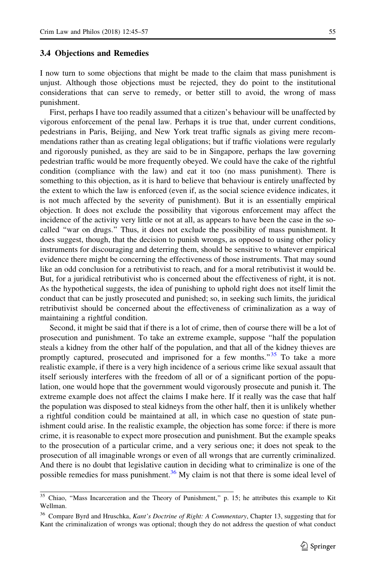#### 3.4 Objections and Remedies

I now turn to some objections that might be made to the claim that mass punishment is unjust. Although those objections must be rejected, they do point to the institutional considerations that can serve to remedy, or better still to avoid, the wrong of mass punishment.

First, perhaps I have too readily assumed that a citizen's behaviour will be unaffected by vigorous enforcement of the penal law. Perhaps it is true that, under current conditions, pedestrians in Paris, Beijing, and New York treat traffic signals as giving mere recommendations rather than as creating legal obligations; but if traffic violations were regularly and rigorously punished, as they are said to be in Singapore, perhaps the law governing pedestrian traffic would be more frequently obeyed. We could have the cake of the rightful condition (compliance with the law) and eat it too (no mass punishment). There is something to this objection, as it is hard to believe that behaviour is entirely unaffected by the extent to which the law is enforced (even if, as the social science evidence indicates, it is not much affected by the severity of punishment). But it is an essentially empirical objection. It does not exclude the possibility that vigorous enforcement may affect the incidence of the activity very little or not at all, as appears to have been the case in the socalled ''war on drugs.'' Thus, it does not exclude the possibility of mass punishment. It does suggest, though, that the decision to punish wrongs, as opposed to using other policy instruments for discouraging and deterring them, should be sensitive to whatever empirical evidence there might be concerning the effectiveness of those instruments. That may sound like an odd conclusion for a retributivist to reach, and for a moral retributivist it would be. But, for a juridical retributivist who is concerned about the effectiveness of right, it is not. As the hypothetical suggests, the idea of punishing to uphold right does not itself limit the conduct that can be justly prosecuted and punished; so, in seeking such limits, the juridical retributivist should be concerned about the effectiveness of criminalization as a way of maintaining a rightful condition.

Second, it might be said that if there is a lot of crime, then of course there will be a lot of prosecution and punishment. To take an extreme example, suppose ''half the population steals a kidney from the other half of the population, and that all of the kidney thieves are promptly captured, prosecuted and imprisoned for a few months."<sup>35</sup> To take a more realistic example, if there is a very high incidence of a serious crime like sexual assault that itself seriously interferes with the freedom of all or of a significant portion of the population, one would hope that the government would vigorously prosecute and punish it. The extreme example does not affect the claims I make here. If it really was the case that half the population was disposed to steal kidneys from the other half, then it is unlikely whether a rightful condition could be maintained at all, in which case no question of state punishment could arise. In the realistic example, the objection has some force: if there is more crime, it is reasonable to expect more prosecution and punishment. But the example speaks to the prosecution of a particular crime, and a very serious one; it does not speak to the prosecution of all imaginable wrongs or even of all wrongs that are currently criminalized. And there is no doubt that legislative caution in deciding what to criminalize is one of the possible remedies for mass punishment. $36$  My claim is not that there is some ideal level of

<sup>&</sup>lt;sup>35</sup> Chiao, "Mass Incarceration and the Theory of Punishment," p. 15; he attributes this example to Kit Wellman.

<sup>36</sup> Compare Byrd and Hruschka, Kant's Doctrine of Right: A Commentary, Chapter 13, suggesting that for Kant the criminalization of wrongs was optional; though they do not address the question of what conduct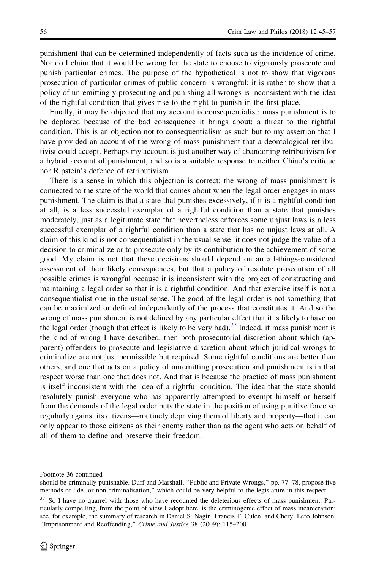punishment that can be determined independently of facts such as the incidence of crime. Nor do I claim that it would be wrong for the state to choose to vigorously prosecute and punish particular crimes. The purpose of the hypothetical is not to show that vigorous prosecution of particular crimes of public concern is wrongful; it is rather to show that a policy of unremittingly prosecuting and punishing all wrongs is inconsistent with the idea of the rightful condition that gives rise to the right to punish in the first place.

Finally, it may be objected that my account is consequentialist: mass punishment is to be deplored because of the bad consequence it brings about: a threat to the rightful condition. This is an objection not to consequentialism as such but to my assertion that I have provided an account of the wrong of mass punishment that a deontological retributivist could accept. Perhaps my account is just another way of abandoning retributivism for a hybrid account of punishment, and so is a suitable response to neither Chiao's critique nor Ripstein's defence of retributivism.

There is a sense in which this objection is correct: the wrong of mass punishment is connected to the state of the world that comes about when the legal order engages in mass punishment. The claim is that a state that punishes excessively, if it is a rightful condition at all, is a less successful exemplar of a rightful condition than a state that punishes moderately, just as a legitimate state that nevertheless enforces some unjust laws is a less successful exemplar of a rightful condition than a state that has no unjust laws at all. A claim of this kind is not consequentialist in the usual sense: it does not judge the value of a decision to criminalize or to prosecute only by its contribution to the achievement of some good. My claim is not that these decisions should depend on an all-things-considered assessment of their likely consequences, but that a policy of resolute prosecution of all possible crimes is wrongful because it is inconsistent with the project of constructing and maintaining a legal order so that it is a rightful condition. And that exercise itself is not a consequentialist one in the usual sense. The good of the legal order is not something that can be maximized or defined independently of the process that constitutes it. And so the wrong of mass punishment is not defined by any particular effect that it is likely to have on the legal order (though that effect is likely to be very bad).<sup>37</sup> Indeed, if mass punishment is the kind of wrong I have described, then both prosecutorial discretion about which (apparent) offenders to prosecute and legislative discretion about which juridical wrongs to criminalize are not just permissible but required. Some rightful conditions are better than others, and one that acts on a policy of unremitting prosecution and punishment is in that respect worse than one that does not. And that is because the practice of mass punishment is itself inconsistent with the idea of a rightful condition. The idea that the state should resolutely punish everyone who has apparently attempted to exempt himself or herself from the demands of the legal order puts the state in the position of using punitive force so regularly against its citizens—routinely depriving them of liberty and property—that it can only appear to those citizens as their enemy rather than as the agent who acts on behalf of all of them to define and preserve their freedom.

Footnote 36 continued

should be criminally punishable. Duff and Marshall, ''Public and Private Wrongs,'' pp. 77–78, propose five methods of ''de- or non-criminalisation,'' which could be very helpful to the legislature in this respect.

<sup>&</sup>lt;sup>37</sup> So I have no quarrel with those who have recounted the deleterious effects of mass punishment. Particularly compelling, from the point of view I adopt here, is the criminogenic effect of mass incarceration: see, for example, the summary of research in Daniel S. Nagin, Francis T. Culen, and Cheryl Lero Johnson, ''Imprisonment and Reoffending,'' Crime and Justice 38 (2009): 115–200.